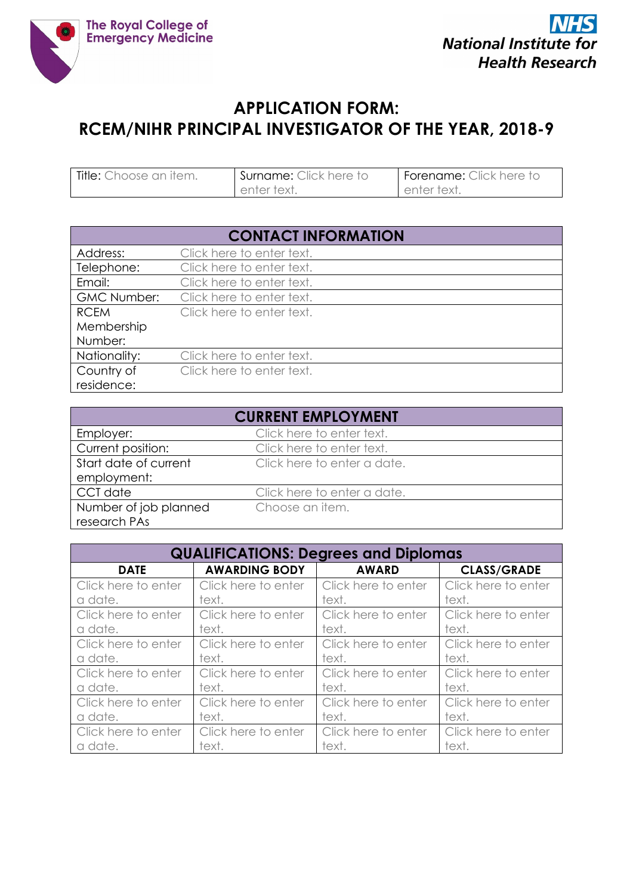



## **APPLICATION FORM: RCEM/NIHR PRINCIPAL INVESTIGATOR OF THE YEAR, 2018-9**

| Title: Choose an item. | <b>Surname:</b> Click here to | <b>Forename:</b> Click here to |
|------------------------|-------------------------------|--------------------------------|
|                        | enter text.                   | enter text.                    |

| <b>CONTACT INFORMATION</b> |                           |  |  |  |
|----------------------------|---------------------------|--|--|--|
| Address:                   | Click here to enter text. |  |  |  |
| Telephone:                 | Click here to enter text. |  |  |  |
| Email:                     | Click here to enter text. |  |  |  |
| <b>GMC Number:</b>         | Click here to enter text. |  |  |  |
| <b>RCEM</b>                | Click here to enter text. |  |  |  |
| Membership                 |                           |  |  |  |
| Number:                    |                           |  |  |  |
| Nationality:               | Click here to enter text. |  |  |  |
| Country of                 | Click here to enter text. |  |  |  |
| residence:                 |                           |  |  |  |

| <b>CURRENT EMPLOYMENT</b> |                             |  |  |  |  |
|---------------------------|-----------------------------|--|--|--|--|
| Employer:                 | Click here to enter text.   |  |  |  |  |
| Current position:         | Click here to enter text.   |  |  |  |  |
| Start date of current     | Click here to enter a date. |  |  |  |  |
| employment:               |                             |  |  |  |  |
| CCT date                  | Click here to enter a date. |  |  |  |  |
| Number of job planned     | Choose an item.             |  |  |  |  |
| research PAs              |                             |  |  |  |  |

| <b>QUALIFICATIONS: Degrees and Diplomas</b> |                     |                     |                     |  |  |  |  |
|---------------------------------------------|---------------------|---------------------|---------------------|--|--|--|--|
| <b>AWARDING BODY</b><br><b>DATE</b>         |                     | <b>AWARD</b>        | <b>CLASS/GRADE</b>  |  |  |  |  |
| Click here to enter                         | Click here to enter | Click here to enter | Click here to enter |  |  |  |  |
| a date.                                     | text.               | text.               | text.               |  |  |  |  |
| Click here to enter                         | Click here to enter | Click here to enter | Click here to enter |  |  |  |  |
| a date.                                     | text.               | text.               | text.               |  |  |  |  |
| Click here to enter                         | Click here to enter | Click here to enter | Click here to enter |  |  |  |  |
| a date.                                     | text.               | text.               | text.               |  |  |  |  |
| Click here to enter                         | Click here to enter | Click here to enter | Click here to enter |  |  |  |  |
| a date.                                     | text.               | text.               | text.               |  |  |  |  |
| Click here to enter                         | Click here to enter | Click here to enter | Click here to enter |  |  |  |  |
| a date.                                     | text.               | text.               | text.               |  |  |  |  |
| Click here to enter                         | Click here to enter | Click here to enter | Click here to enter |  |  |  |  |
| a date.                                     | text.               | text.               | text.               |  |  |  |  |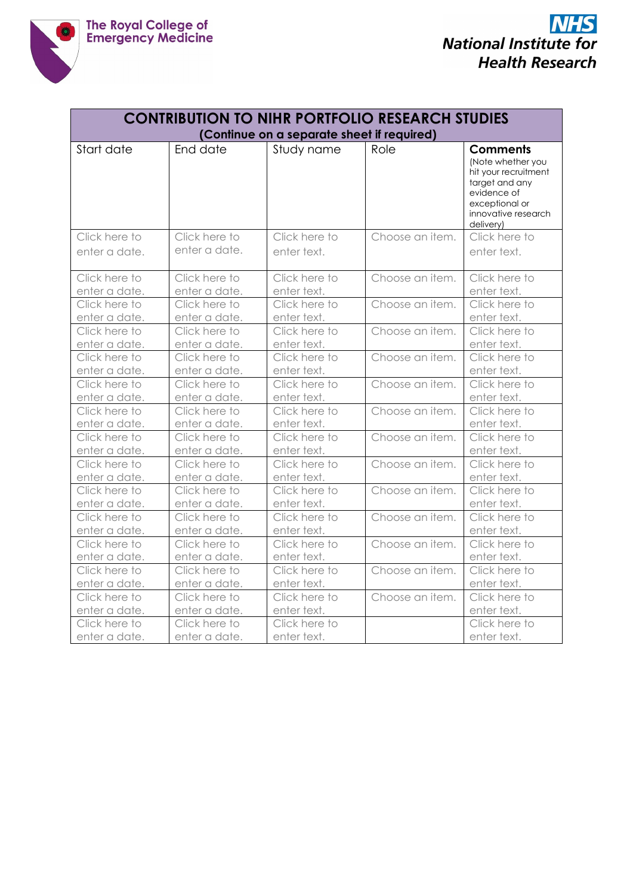

| <b>CONTRIBUTION TO NIHR PORTFOLIO RESEARCH STUDIES</b><br>(Continue on a separate sheet if required) |                                |                              |                 |                                                                                                                                                     |  |
|------------------------------------------------------------------------------------------------------|--------------------------------|------------------------------|-----------------|-----------------------------------------------------------------------------------------------------------------------------------------------------|--|
| Start date                                                                                           | End date                       | Study name                   | Role            | <b>Comments</b><br>(Note whether you<br>hit your recruitment<br>target and any<br>evidence of<br>exceptional or<br>innovative research<br>delivery) |  |
| Click here to                                                                                        | Click here to                  | Click here to                | Choose an item. | Click here to                                                                                                                                       |  |
| enter a date.                                                                                        | enter a date.                  | enter text.                  |                 | enter text.                                                                                                                                         |  |
| Click here to                                                                                        | Click here to                  | Click here to                | Choose an item. | Click here to                                                                                                                                       |  |
| enter a date.                                                                                        | enter a date.                  | enter text.                  |                 | enter text.                                                                                                                                         |  |
| Click here to                                                                                        | Click here to                  | Click here to                | Choose an item. | Click here to                                                                                                                                       |  |
| enter a date.                                                                                        | enter a date.                  | enter text.                  |                 | enter text.                                                                                                                                         |  |
| Click here to                                                                                        | Click here to                  | Click here to                | Choose an item. | Click here to                                                                                                                                       |  |
| enter a date.                                                                                        | enter a date.                  | enter text.                  |                 | enter text.                                                                                                                                         |  |
| Click here to                                                                                        | Click here to                  | Click here to                | Choose an item. | Click here to                                                                                                                                       |  |
| enter a date.                                                                                        | enter a date.                  | enter text.                  |                 | enter text.                                                                                                                                         |  |
| Click here to                                                                                        | Click here to                  | Click here to                | Choose an item. | Click here to                                                                                                                                       |  |
| enter a date.                                                                                        | enter a date.                  | enter text.                  |                 | enter text.                                                                                                                                         |  |
| Click here to                                                                                        | Click here to                  | Click here to                | Choose an item. | Click here to                                                                                                                                       |  |
| enter a date.                                                                                        | enter a date.                  | enter text.                  |                 | enter text.                                                                                                                                         |  |
| Click here to                                                                                        | Click here to                  | Click here to                | Choose an item. | Click here to                                                                                                                                       |  |
| enter a date.                                                                                        | enter a date.                  | enter text.                  |                 | enter text.                                                                                                                                         |  |
| Click here to                                                                                        | Click here to                  | Click here to                | Choose an item. | Click here to                                                                                                                                       |  |
| enter a date.<br>Click here to                                                                       | enter a date.<br>Click here to | enter text.<br>Click here to | Choose an item. | enter text.<br>Click here to                                                                                                                        |  |
| enter a date.                                                                                        | enter a date.                  | enter text.                  |                 | enter text.                                                                                                                                         |  |
| Click here to                                                                                        | Click here to                  | Click here to                | Choose an item. | Click here to                                                                                                                                       |  |
| enter a date.                                                                                        | enter a date.                  | enter text.                  |                 | enter text.                                                                                                                                         |  |
| Click here to                                                                                        | Click here to                  | Click here to                | Choose an item. | Click here to                                                                                                                                       |  |
| enter a date.                                                                                        | enter a date.                  | enter text.                  |                 | enter text.                                                                                                                                         |  |
| Click here to                                                                                        | Click here to                  | Click here to                | Choose an item. | Click here to                                                                                                                                       |  |
| enter a date.                                                                                        | enter a date.                  | enter text.                  |                 | enter text.                                                                                                                                         |  |
| Click here to                                                                                        | Click here to                  | Click here to                | Choose an item. | Click here to                                                                                                                                       |  |
| enter a date.                                                                                        | enter a date.                  | enter text.                  |                 | enter text.                                                                                                                                         |  |
| Click here to                                                                                        | Click here to                  | Click here to                |                 | Click here to                                                                                                                                       |  |
| enter a date.                                                                                        | enter a date.                  | enter text.                  |                 | enter text.                                                                                                                                         |  |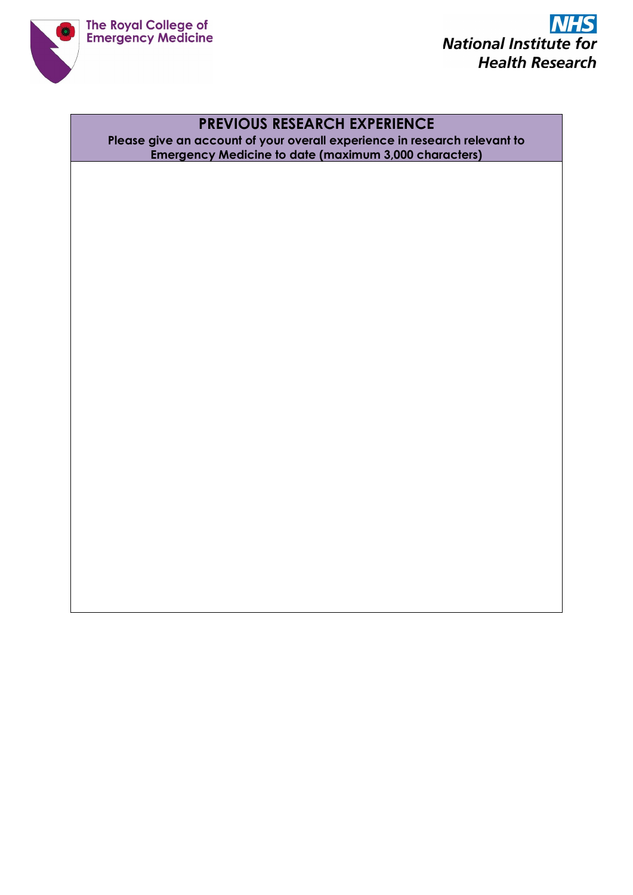



## **PREVIOUS RESEARCH EXPERIENCE**

**Please give an account of your overall experience in research relevant to Emergency Medicine to date (maximum 3,000 characters)**